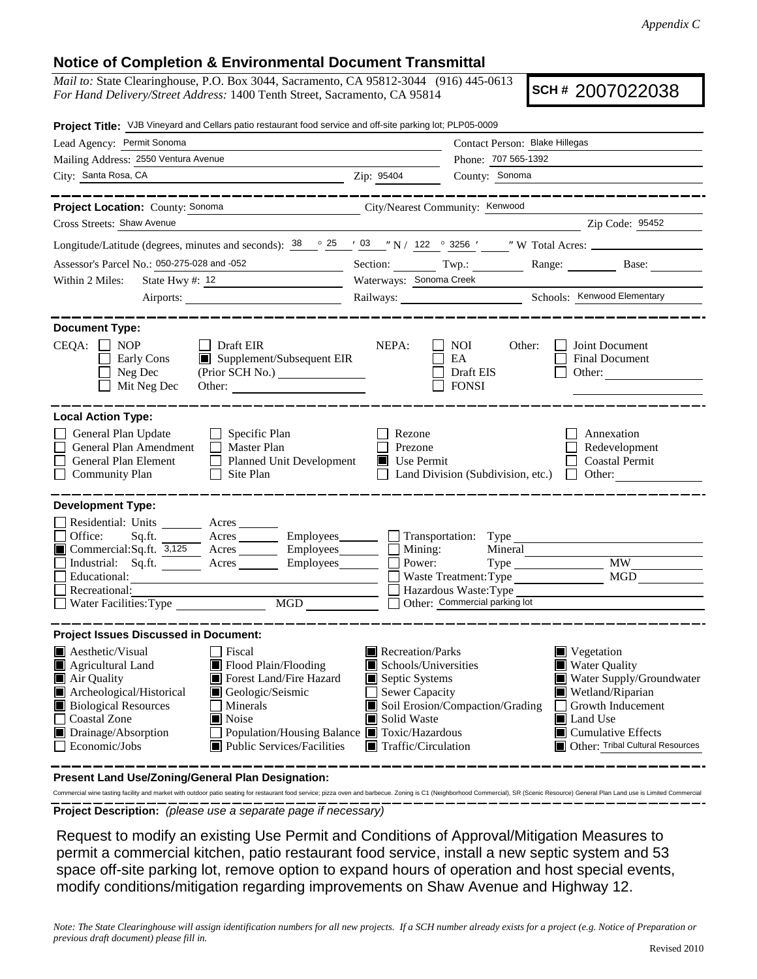## **Notice of Completion & Environmental Document Transmittal**

*Mail to:* State Clearinghouse, P.O. Box 3044, Sacramento, CA 95812-3044 (916) 445-0613 *For Hand Delivery/Street Address:* 1400 Tenth Street, Sacramento, CA 95814

**SCH #** 2007022038

| Project Title: VJB Vineyard and Cellars patio restaurant food service and off-site parking lot; PLP05-0009                                                                                                                                                                                                                                                         |                                                                                                                                                                                                               |                                                                                            |                                                                                    |
|--------------------------------------------------------------------------------------------------------------------------------------------------------------------------------------------------------------------------------------------------------------------------------------------------------------------------------------------------------------------|---------------------------------------------------------------------------------------------------------------------------------------------------------------------------------------------------------------|--------------------------------------------------------------------------------------------|------------------------------------------------------------------------------------|
| Lead Agency: Permit Sonoma                                                                                                                                                                                                                                                                                                                                         | Contact Person: Blake Hillegas                                                                                                                                                                                |                                                                                            |                                                                                    |
| Mailing Address: 2550 Ventura Avenue                                                                                                                                                                                                                                                                                                                               | Phone: 707 565-1392                                                                                                                                                                                           |                                                                                            |                                                                                    |
| City: Santa Rosa, CA<br><u> 1989 - Johann Stoff, Amerikaansk politiker (</u>                                                                                                                                                                                                                                                                                       | Zip: 95404                                                                                                                                                                                                    | County: Sonoma                                                                             |                                                                                    |
| __________                                                                                                                                                                                                                                                                                                                                                         |                                                                                                                                                                                                               |                                                                                            | . _ _ _ _ _ _ _ _ _ _ _ _ _ _ _ _ _                                                |
| City/Nearest Community: Kenwood<br>Project Location: County: Sonoma                                                                                                                                                                                                                                                                                                |                                                                                                                                                                                                               |                                                                                            |                                                                                    |
| Cross Streets: Shaw Avenue                                                                                                                                                                                                                                                                                                                                         |                                                                                                                                                                                                               |                                                                                            | Zip Code: 95452                                                                    |
| Longitude/Latitude (degrees, minutes and seconds): $\frac{38}{100}$ $\frac{25}{100}$ $\frac{1}{100}$ N / 122 $\degree$ 3256 $\frac{1}{100}$ W Total Acres:                                                                                                                                                                                                         |                                                                                                                                                                                                               |                                                                                            |                                                                                    |
| Assessor's Parcel No.: 050-275-028 and -052                                                                                                                                                                                                                                                                                                                        | Section: Twp.:                                                                                                                                                                                                |                                                                                            | Range: Base:                                                                       |
| Within 2 Miles:<br>State Hwy #: $12$                                                                                                                                                                                                                                                                                                                               | Waterways: Sonoma Creek                                                                                                                                                                                       |                                                                                            |                                                                                    |
|                                                                                                                                                                                                                                                                                                                                                                    |                                                                                                                                                                                                               |                                                                                            | Railways: Schools: Kenwood Elementary                                              |
| <b>Document Type:</b><br>$CEQA: \Box NOP$<br>$\Box$ Draft EIR<br>Supplement/Subsequent EIR<br>Early Cons<br>Neg Dec<br>Mit Neg Dec<br>Other:                                                                                                                                                                                                                       | NEPA:                                                                                                                                                                                                         | <b>NOI</b><br>Other:<br>EA<br>Draft EIS<br><b>FONSI</b>                                    | Joint Document<br><b>Final Document</b><br>Other:                                  |
| <b>Local Action Type:</b><br>General Plan Update<br>$\Box$ Specific Plan<br>General Plan Amendment<br>$\Box$ Master Plan<br>General Plan Element<br>Planned Unit Development<br><b>Community Plan</b><br>Site Plan<br>$\Box$                                                                                                                                       | Rezone<br>Prezone<br>Use Permit                                                                                                                                                                               | Land Division (Subdivision, etc.) $\Box$                                                   | Annexation<br>Redevelopment<br><b>Coastal Permit</b><br>Other:                     |
| <b>Development Type:</b><br>Residential: Units ________ Acres _______<br>Office:<br>Sq.ft. ________ Acres _________ Employees_________ ___ Transportation: Type _______________________<br>Commercial:Sq.ft. 3,125 Acres Employees<br>Industrial: Sq.ft. _______ Acres ________ Employees_______<br>Educational:<br>Recreational:<br>MGD<br>Water Facilities: Type | Mining:<br>Power:                                                                                                                                                                                             | Mineral<br>Waste Treatment: Type<br>Hazardous Waste: Type<br>Other: Commercial parking lot | <b>MW</b><br><b>MGD</b>                                                            |
| <b>Project Issues Discussed in Document:</b><br><b>□</b> Fiscal<br><b>A</b> esthetic/Visual<br>Flood Plain/Flooding<br>Agricultural Land<br>Forest Land/Fire Hazard<br>Air Quality<br>Archeological/Historical<br>Geologic/Seismic                                                                                                                                 | Recreation/Parks<br>Schools/Universities<br>Septic Systems<br>Sewer Capacity                                                                                                                                  |                                                                                            | Vegetation<br><b>Water Quality</b><br>Water Supply/Groundwater<br>Wetland/Riparian |
| <b>Biological Resources</b><br>Minerals<br><b>Coastal Zone</b><br>Noise<br>Drainage/Absorption<br>Population/Housing Balance Toxic/Hazardous<br>Economic/Jobs<br><b>Public Services/Facilities</b>                                                                                                                                                                 | Soil Erosion/Compaction/Grading<br>Growth Inducement<br>Solid Waste<br>$\blacksquare$ Land Use<br>$\blacksquare$ Cumulative Effects<br>Other: Tribal Cultural Resources<br>$\blacksquare$ Traffic/Circulation |                                                                                            |                                                                                    |

**Present Land Use/Zoning/General Plan Designation:**

**Project Description:** *(please use a separate page if necessary)* Commercial wine tasting facility and market with outdoor patio seating for restaurant food service; pizza oven and barbecue. Zoning is C1 (Neighborhood Commercial), SR (Scenic Resource) General Plan Land use is Limited Com

 Request to modify an existing Use Permit and Conditions of Approval/Mitigation Measures to permit a commercial kitchen, patio restaurant food service, install a new septic system and 53 space off-site parking lot, remove option to expand hours of operation and host special events, modify conditions/mitigation regarding improvements on Shaw Avenue and Highway 12.

*Note: The State Clearinghouse will assign identification numbers for all new projects. If a SCH number already exists for a project (e.g. Notice of Preparation or previous draft document) please fill in.*